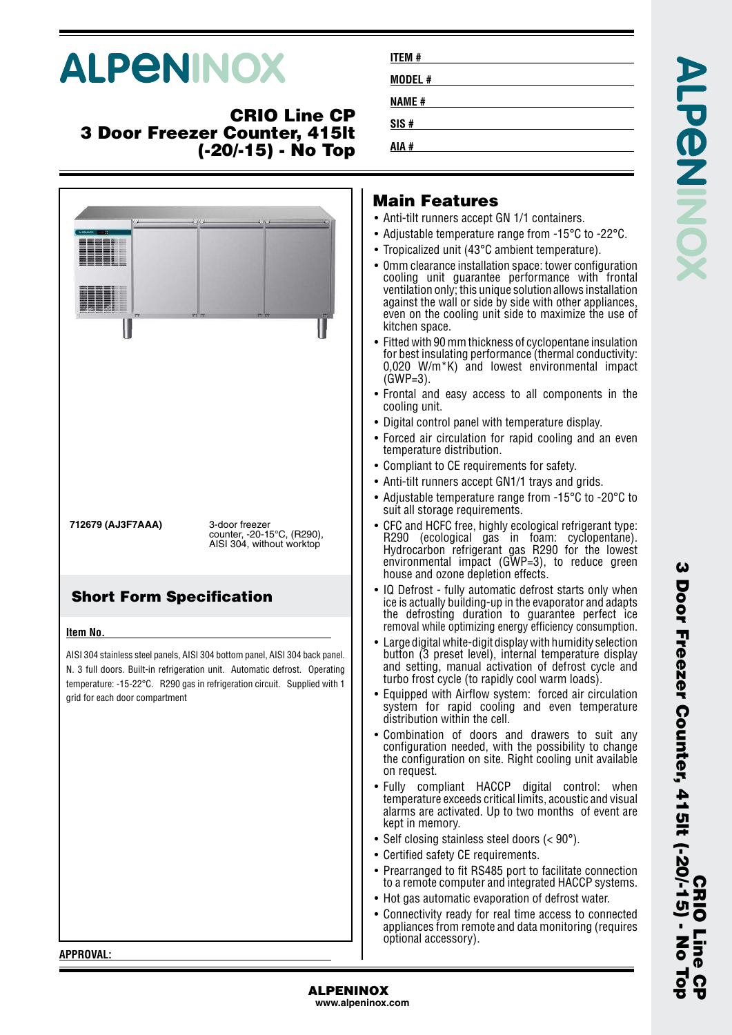# **ALPENINOX**

# **CRIO Line CP 3 Door Freezer Counter, 415lt (-20/-15) - No Top**

|                                                      | 2222                                                                                                                                                                                                                                    | lai<br>Anti<br>Adju<br>Trop<br>$\bullet$ Omn<br>cool<br>vent<br>agai<br>ever<br>kitch<br>Fitte<br>for b<br>0,02<br>(GW<br>$\bullet$ Fron<br>cool<br>• Digit                                                                   |
|------------------------------------------------------|-----------------------------------------------------------------------------------------------------------------------------------------------------------------------------------------------------------------------------------------|-------------------------------------------------------------------------------------------------------------------------------------------------------------------------------------------------------------------------------|
| 712679 (AJ3F7AAA)<br><b>Short Form Specification</b> | 3-door freezer<br>counter, -20-15°C, (R290),<br>AISI 304, without worktop                                                                                                                                                               | $\bullet$ Forc<br>tem<br>$\bullet$ Com<br>• Anti∙<br>• Adju<br>suit<br>$\bullet$ CFC<br>R <sub>29</sub><br>Hyd<br>envi<br>hou:<br>IQ D<br>ice i:                                                                              |
| Item No.<br>grid for each door compartment           | AISI 304 stainless steel panels, AISI 304 bottom panel, AISI 304 back panel.<br>N. 3 full doors. Built-in refrigeration unit. Automatic defrost. Operating<br>temperature: -15-22°C. R290 gas in refrigeration circuit. Supplied with 1 | the<br>remo<br>Larg<br>butt<br>and<br>turb<br>Equi<br>syst<br>distr<br>Com<br>conf<br>the o<br>on r<br><b>Fully</b><br>$\bullet$<br>tem<br>alari<br>kept<br>Self<br>Cert<br>• Prea<br>to a<br>Hot<br>$\bullet$<br>Con<br>appl |

# **In Features**

**ITEM # MODEL # NAME # SIS # AIA #**

- -tilt runners accept GN 1/1 containers.
- istable temperature range from -15 $^{\circ}$ C to -22 $^{\circ}$ C.
- icalized unit (43°C ambient temperature).
- n clearance installation space: tower configuration ling unit guarantee performance with frontal  $t$ ilation only; this unique solution allows installation inst the wall or side by side with other appliances, even on the cooling unit side to maximize the use of hen space.
- d with 90 mm thickness of cyclopentane insulation est insulating performance (thermal conductivity: 0,020 W/m\*K) and lowest environmental impact  $(P=3)$ .
- tal and easy access to all components in the ling unit.
- tal control panel with temperature display.
- ed air circulation for rapid cooling and an even temperature distribution.
- pliant to CE requirements for safety.
- -tilt runners accept GN1/1 trays and grids.
- istable temperature range from -15 $^{\circ}$ C to -20 $^{\circ}$ C to all storage requirements.
- and HCFC free, highly ecological refrigerant type: R290 (ecological gas in foam: cyclopentane). Hydrocarbon refrigerant gas R290 for the lowest ronmental impact  $(GWP=3)$ , to reduce green se and ozone depletion effects.
- efrost fully automatic defrost starts only when s actually building-up in the evaporator and adapts defrosting duration to guarantee perfect ice oval while optimizing energy efficiency consumption.
- e digital white-digit display with humidity selection on (3 preset level), internal temperature display setting, manual activation of defrost cycle and o frost cycle (to rapidly cool warm loads).
- pped with Airflow system: forced air circulation em for rapid cooling and even temperature ibution within the cell.
- bination of doors and drawers to suit any figuration needed, with the possibility to change configuration on site. Right cooling unit available equest.
- compliant HACCP digital control: when  $\rho$ erature exceeds critical limits, acoustic and visual ms are activated. Up to two months of event are in memory.
- closing stainless steel doors  $(< 90^{\circ})$ .
- ified safety CE requirements.
- rranged to fit RS485 port to facilitate connection remote computer and integrated HACCP systems.
- gas automatic evaporation of defrost water.
- nectivity ready for real time access to connected liances from remote and data monitoring (requires optional accessory).

**APPROVAL:**

**ALPENINOX www.alpeninox.com** **3 Door Freezer Counter, 415lt (-20/-15) - No Top** Door Freezer Counter, 41914 (-20)-195 - No Top **CRIO Line CP**

ω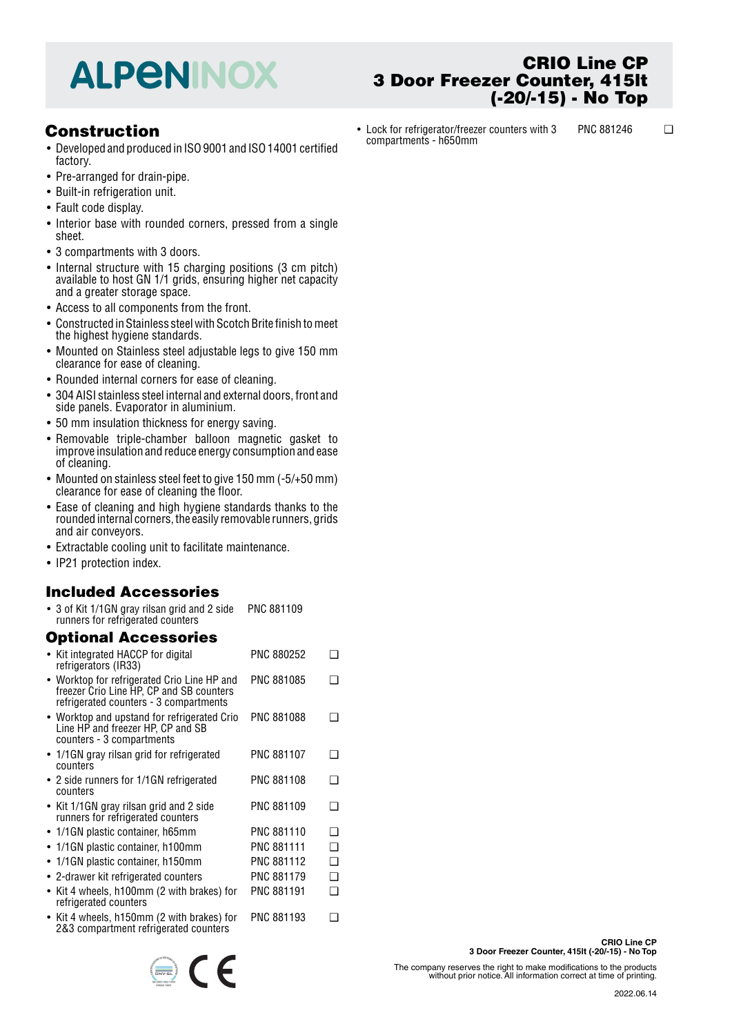# **ALPENINOX**

# **Construction**

- Developed and produced in ISO 9001 and ISO 14001 certified factory.
- Pre-arranged for drain-pipe.
- Built-in refrigeration unit.
- Fault code display.
- Interior base with rounded corners, pressed from a single sheet.
- 3 compartments with 3 doors.
- Internal structure with 15 charging positions (3 cm pitch) available to host GN 1/1 grids, ensuring higher net capacity and a greater storage space.
- Access to all components from the front.
- Constructed in Stainless steel with Scotch Brite finish to meet the highest hygiene standards.
- Mounted on Stainless steel adjustable legs to give 150 mm clearance for ease of cleaning.
- Rounded internal corners for ease of cleaning.
- 304 AISI stainless steel internal and external doors, front and side panels. Evaporator in aluminium.
- 50 mm insulation thickness for energy saving.
- Removable triple-chamber balloon magnetic gasket to improve insulation and reduce energy consumption and ease of cleaning.
- Mounted on stainless steel feet to give 150 mm (-5/+50 mm) clearance for ease of cleaning the floor.
- Ease of cleaning and high hygiene standards thanks to the rounded internal corners, the easily removable runners, grids and air conveyors.
- Extractable cooling unit to facilitate maintenance.
- IP21 protection index.

# **Included Accessories**

• 3 of Kit 1/1GN gray rilsan grid and 2 side runners for refrigerated counters PNC 881109

# **Optional Accessories**

| • Kit integrated HACCP for digital<br>refrigerators (IR33)                                                                        | PNC 880252        |   |
|-----------------------------------------------------------------------------------------------------------------------------------|-------------------|---|
| • Worktop for refrigerated Crio Line HP and<br>freezer Crio Line HP, CP and SB counters<br>refrigerated counters - 3 compartments | PNC 881085        |   |
| • Worktop and upstand for refrigerated Crio<br>Line HP and freezer HP, CP and SB<br>counters - 3 compartments                     | <b>PNC 881088</b> |   |
| • 1/1GN gray rilsan grid for refrigerated<br>counters                                                                             | <b>PNC 881107</b> | ∍ |
| • 2 side runners for 1/1GN refrigerated<br>counters                                                                               | <b>PNC 881108</b> | ∩ |
| • Kit 1/1GN gray rilsan grid and 2 side<br>runners for refrigerated counters                                                      | PNC 881109        | ∩ |
| • 1/1GN plastic container, h65mm                                                                                                  | <b>PNC 881110</b> | ∩ |
| $\bullet$ 1/1GN plastic container, h100mm                                                                                         | <b>PNC 881111</b> | ∩ |
| • 1/1GN plastic container, h150mm                                                                                                 | PNC 881112        | ∩ |
| $\bullet$ 2-drawer kit refrigerated counters                                                                                      | <b>PNC 881179</b> | ❏ |
| • Kit 4 wheels, h100mm (2 with brakes) for<br>refrigerated counters                                                               | <b>PNC 881191</b> | ∩ |
| • Kit 4 wheels, h150mm (2 with brakes) for<br>2&3 compartment refrigerated counters                                               | PNC 881193        |   |



### **CRIO Line CP 3 Door Freezer Counter, 415lt (-20/-15) - No Top**

• Lock for refrigerator/freezer counters with 3 compartments - h650mm PNC 881246 ❑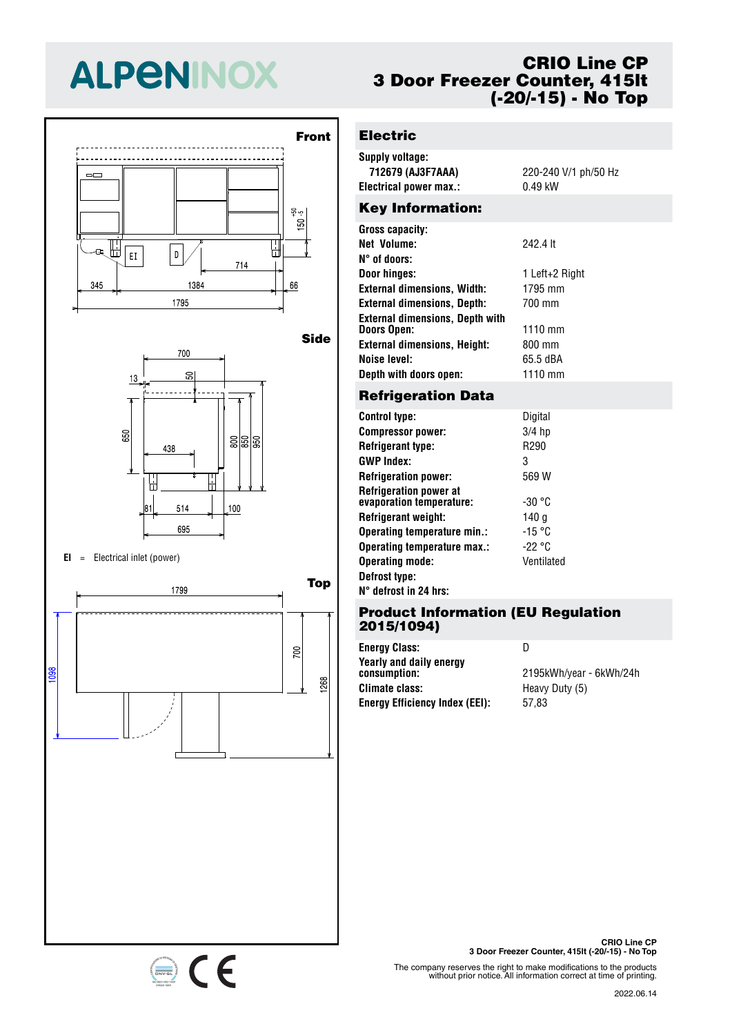# **ALPENINOX**





#### **EI** <sup>=</sup> Electrical inlet (power)



# **CRIO Line CP 3 Door Freezer Counter, 415lt (-20/-15) - No Top**

# **Electric**

| <b>Supply voltage:</b><br>712679 (AJ3F7AAA)<br>Electrical power max.: | 220-240 V/1 ph/50 Hz<br>$0.49$ kW |
|-----------------------------------------------------------------------|-----------------------------------|
| <b>Key Information:</b>                                               |                                   |
| Gross capacity:                                                       |                                   |
| Net Volume:                                                           | 242.4 lt                          |
| N° of doors:                                                          |                                   |
| Door hinges:                                                          | 1 Left+2 Right                    |
| <b>External dimensions, Width:</b>                                    | 1795 mm                           |
| <b>External dimensions, Depth:</b>                                    | 700 mm                            |
| <b>External dimensions, Depth with</b>                                |                                   |

**Doors Open:** 1110 mm **External dimensions, Height:** 800 mm **Noise level:** 65.5 dBA **Depth with doors open:** 1110 mm

### **Refrigeration Data**

| <b>Control type:</b>                                      | Digital    |
|-----------------------------------------------------------|------------|
| <b>Compressor power:</b>                                  | $3/4$ hp   |
| <b>Refrigerant type:</b>                                  | R290       |
| <b>GWP Index:</b>                                         | 3          |
| <b>Refrigeration power:</b>                               | 569 W      |
| <b>Refrigeration power at</b><br>evaporation temperature: | -30 °C     |
| Refrigerant weight:                                       | 140 g      |
| Operating temperature min.:                               | -15 °C     |
| Operating temperature max.:                               | -22 °C     |
| <b>Operating mode:</b>                                    | Ventilated |
| Defrost type:                                             |            |
| N° defrost in 24 hrs:                                     |            |

### **Product Information (EU Regulation 2015/1094)**

**Energy Class:** D **Yearly and daily energy Climate class:** Heavy Duty (5) **Energy Efficiency Index (EEI):** 57,83

**consumption:** 2195kWh/year - 6kWh/24h

**CRIO Line CP 3 Door Freezer Counter, 415lt (-20/-15) - No Top**

The company reserves the right to make modifications to the products without prior notice. All information correct at time of printing.

#### 2022.06.14